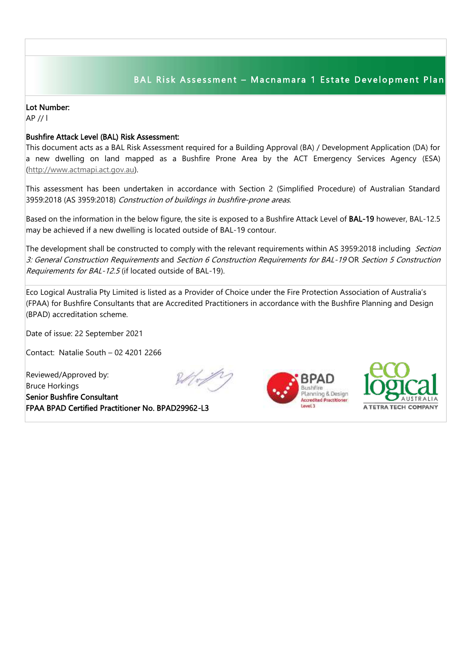## BAL Risk Assessment - Macnamara 1 Estate Development Plan

## Lot Number:

AP // l

## Bushfire Attack Level (BAL) Risk Assessment:

This document acts as a BAL Risk Assessment required for a Building Approval (BA) / Development Application (DA) for a new dwelling on land mapped as a Bushfire Prone Area by the ACT Emergency Services Agency (ESA) [\(http://www.actmapi.act.gov.au\)](http://www.actmapi.act.gov.au/).

This assessment has been undertaken in accordance with Section 2 (Simplified Procedure) of Australian Standard 3959:2018 (AS 3959:2018) Construction of buildings in bushfire-prone areas.

Based on the information in the below figure, the site is exposed to a Bushfire Attack Level of BAL-19 however, BAL-12.5 may be achieved if a new dwelling is located outside of BAL-19 contour.

The development shall be constructed to comply with the relevant requirements within AS 3959:2018 including Section 3: General Construction Requirements and Section 6 Construction Requirements for BAL-19 OR Section 5 Construction Requirements for BAL-12.5 (if located outside of BAL-19).

Eco Logical Australia Pty Limited is listed as a Provider of Choice under the Fire Protection Association of Australia's (FPAA) for Bushfire Consultants that are Accredited Practitioners in accordance with the Bushfire Planning and Design (BPAD) accreditation scheme.

Date of issue: 22 September 2021

Contact: Natalie South – 02 4201 2266

Reviewed/Approved by: Bruce Horkings Senior Bushfire Consultant FPAA BPAD Certified Practitioner No. BPAD29962-L3







I